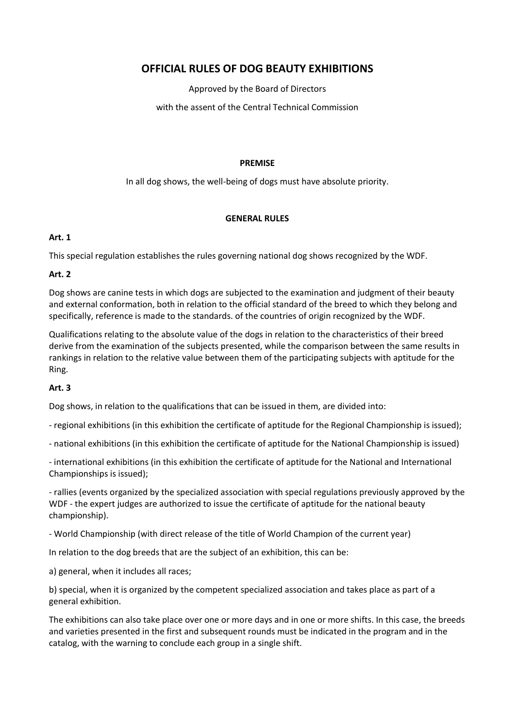# **OFFICIAL RULES OF DOG BEAUTY EXHIBITIONS**

Approved by the Board of Directors

with the assent of the Central Technical Commission

#### **PREMISE**

In all dog shows, the well-being of dogs must have absolute priority.

#### **GENERAL RULES**

### **Art. 1**

This special regulation establishes the rules governing national dog shows recognized by the WDF.

### **Art. 2**

Dog shows are canine tests in which dogs are subjected to the examination and judgment of their beauty and external conformation, both in relation to the official standard of the breed to which they belong and specifically, reference is made to the standards. of the countries of origin recognized by the WDF.

Qualifications relating to the absolute value of the dogs in relation to the characteristics of their breed derive from the examination of the subjects presented, while the comparison between the same results in rankings in relation to the relative value between them of the participating subjects with aptitude for the Ring.

# **Art. 3**

Dog shows, in relation to the qualifications that can be issued in them, are divided into:

- regional exhibitions (in this exhibition the certificate of aptitude for the Regional Championship is issued);

- national exhibitions (in this exhibition the certificate of aptitude for the National Championship is issued)

- international exhibitions (in this exhibition the certificate of aptitude for the National and International Championships is issued);

- rallies (events organized by the specialized association with special regulations previously approved by the WDF - the expert judges are authorized to issue the certificate of aptitude for the national beauty championship).

- World Championship (with direct release of the title of World Champion of the current year)

In relation to the dog breeds that are the subject of an exhibition, this can be:

a) general, when it includes all races;

b) special, when it is organized by the competent specialized association and takes place as part of a general exhibition.

The exhibitions can also take place over one or more days and in one or more shifts. In this case, the breeds and varieties presented in the first and subsequent rounds must be indicated in the program and in the catalog, with the warning to conclude each group in a single shift.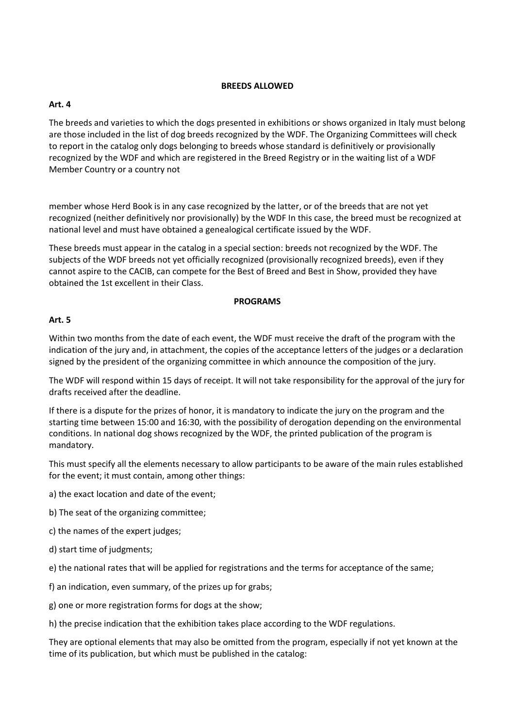### **BREEDS ALLOWED**

# **Art. 4**

The breeds and varieties to which the dogs presented in exhibitions or shows organized in Italy must belong are those included in the list of dog breeds recognized by the WDF. The Organizing Committees will check to report in the catalog only dogs belonging to breeds whose standard is definitively or provisionally recognized by the WDF and which are registered in the Breed Registry or in the waiting list of a WDF Member Country or a country not

member whose Herd Book is in any case recognized by the latter, or of the breeds that are not yet recognized (neither definitively nor provisionally) by the WDF In this case, the breed must be recognized at national level and must have obtained a genealogical certificate issued by the WDF.

These breeds must appear in the catalog in a special section: breeds not recognized by the WDF. The subjects of the WDF breeds not yet officially recognized (provisionally recognized breeds), even if they cannot aspire to the CACIB, can compete for the Best of Breed and Best in Show, provided they have obtained the 1st excellent in their Class.

### **PROGRAMS**

# **Art. 5**

Within two months from the date of each event, the WDF must receive the draft of the program with the indication of the jury and, in attachment, the copies of the acceptance letters of the judges or a declaration signed by the president of the organizing committee in which announce the composition of the jury.

The WDF will respond within 15 days of receipt. It will not take responsibility for the approval of the jury for drafts received after the deadline.

If there is a dispute for the prizes of honor, it is mandatory to indicate the jury on the program and the starting time between 15:00 and 16:30, with the possibility of derogation depending on the environmental conditions. In national dog shows recognized by the WDF, the printed publication of the program is mandatory.

This must specify all the elements necessary to allow participants to be aware of the main rules established for the event; it must contain, among other things:

a) the exact location and date of the event;

- b) The seat of the organizing committee;
- c) the names of the expert judges;
- d) start time of judgments;

e) the national rates that will be applied for registrations and the terms for acceptance of the same;

- f) an indication, even summary, of the prizes up for grabs;
- g) one or more registration forms for dogs at the show;

h) the precise indication that the exhibition takes place according to the WDF regulations.

They are optional elements that may also be omitted from the program, especially if not yet known at the time of its publication, but which must be published in the catalog: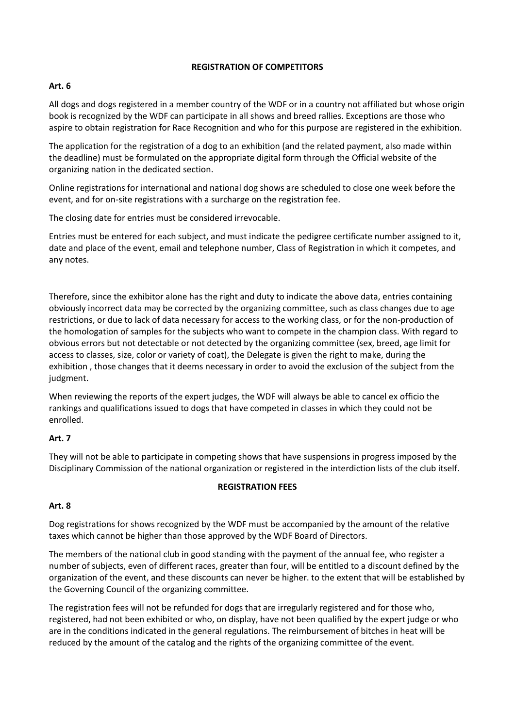### **REGISTRATION OF COMPETITORS**

# **Art. 6**

All dogs and dogs registered in a member country of the WDF or in a country not affiliated but whose origin book is recognized by the WDF can participate in all shows and breed rallies. Exceptions are those who aspire to obtain registration for Race Recognition and who for this purpose are registered in the exhibition.

The application for the registration of a dog to an exhibition (and the related payment, also made within the deadline) must be formulated on the appropriate digital form through the Official website of the organizing nation in the dedicated section.

Online registrations for international and national dog shows are scheduled to close one week before the event, and for on-site registrations with a surcharge on the registration fee.

The closing date for entries must be considered irrevocable.

Entries must be entered for each subject, and must indicate the pedigree certificate number assigned to it, date and place of the event, email and telephone number, Class of Registration in which it competes, and any notes.

Therefore, since the exhibitor alone has the right and duty to indicate the above data, entries containing obviously incorrect data may be corrected by the organizing committee, such as class changes due to age restrictions, or due to lack of data necessary for access to the working class, or for the non-production of the homologation of samples for the subjects who want to compete in the champion class. With regard to obvious errors but not detectable or not detected by the organizing committee (sex, breed, age limit for access to classes, size, color or variety of coat), the Delegate is given the right to make, during the exhibition , those changes that it deems necessary in order to avoid the exclusion of the subject from the judgment.

When reviewing the reports of the expert judges, the WDF will always be able to cancel ex officio the rankings and qualifications issued to dogs that have competed in classes in which they could not be enrolled.

# **Art. 7**

They will not be able to participate in competing shows that have suspensions in progress imposed by the Disciplinary Commission of the national organization or registered in the interdiction lists of the club itself.

#### **REGISTRATION FEES**

# **Art. 8**

Dog registrations for shows recognized by the WDF must be accompanied by the amount of the relative taxes which cannot be higher than those approved by the WDF Board of Directors.

The members of the national club in good standing with the payment of the annual fee, who register a number of subjects, even of different races, greater than four, will be entitled to a discount defined by the organization of the event, and these discounts can never be higher. to the extent that will be established by the Governing Council of the organizing committee.

The registration fees will not be refunded for dogs that are irregularly registered and for those who, registered, had not been exhibited or who, on display, have not been qualified by the expert judge or who are in the conditions indicated in the general regulations. The reimbursement of bitches in heat will be reduced by the amount of the catalog and the rights of the organizing committee of the event.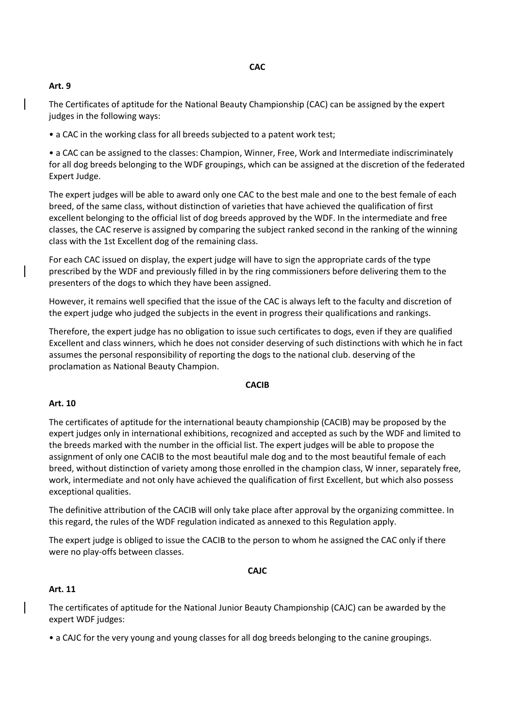### **CAC**

### **Art. 9**

The Certificates of aptitude for the National Beauty Championship (CAC) can be assigned by the expert judges in the following ways:

• a CAC in the working class for all breeds subjected to a patent work test;

• a CAC can be assigned to the classes: Champion, Winner, Free, Work and Intermediate indiscriminately for all dog breeds belonging to the WDF groupings, which can be assigned at the discretion of the federated Expert Judge.

The expert judges will be able to award only one CAC to the best male and one to the best female of each breed, of the same class, without distinction of varieties that have achieved the qualification of first excellent belonging to the official list of dog breeds approved by the WDF. In the intermediate and free classes, the CAC reserve is assigned by comparing the subject ranked second in the ranking of the winning class with the 1st Excellent dog of the remaining class.

For each CAC issued on display, the expert judge will have to sign the appropriate cards of the type prescribed by the WDF and previously filled in by the ring commissioners before delivering them to the presenters of the dogs to which they have been assigned.

However, it remains well specified that the issue of the CAC is always left to the faculty and discretion of the expert judge who judged the subjects in the event in progress their qualifications and rankings.

Therefore, the expert judge has no obligation to issue such certificates to dogs, even if they are qualified Excellent and class winners, which he does not consider deserving of such distinctions with which he in fact assumes the personal responsibility of reporting the dogs to the national club. deserving of the proclamation as National Beauty Champion.

#### **CACIB**

#### **Art. 10**

The certificates of aptitude for the international beauty championship (CACIB) may be proposed by the expert judges only in international exhibitions, recognized and accepted as such by the WDF and limited to the breeds marked with the number in the official list. The expert judges will be able to propose the assignment of only one CACIB to the most beautiful male dog and to the most beautiful female of each breed, without distinction of variety among those enrolled in the champion class, W inner, separately free, work, intermediate and not only have achieved the qualification of first Excellent, but which also possess exceptional qualities.

The definitive attribution of the CACIB will only take place after approval by the organizing committee. In this regard, the rules of the WDF regulation indicated as annexed to this Regulation apply.

The expert judge is obliged to issue the CACIB to the person to whom he assigned the CAC only if there were no play-offs between classes.

#### **CAJC**

#### **Art. 11**

The certificates of aptitude for the National Junior Beauty Championship (CAJC) can be awarded by the expert WDF judges:

• a CAJC for the very young and young classes for all dog breeds belonging to the canine groupings.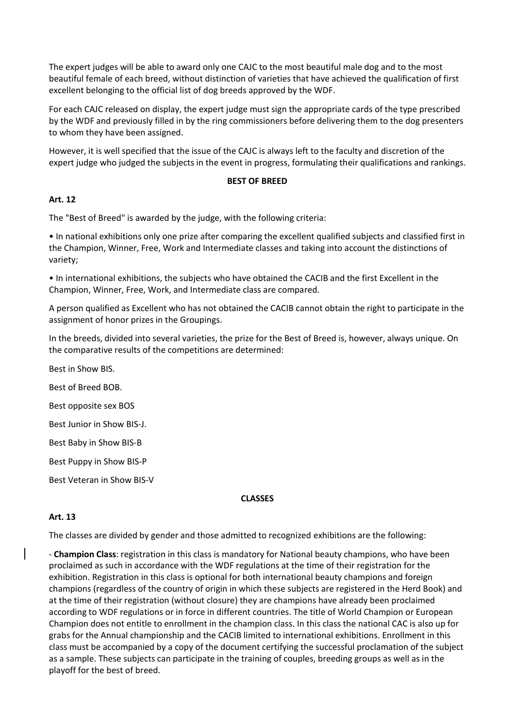The expert judges will be able to award only one CAJC to the most beautiful male dog and to the most beautiful female of each breed, without distinction of varieties that have achieved the qualification of first excellent belonging to the official list of dog breeds approved by the WDF.

For each CAJC released on display, the expert judge must sign the appropriate cards of the type prescribed by the WDF and previously filled in by the ring commissioners before delivering them to the dog presenters to whom they have been assigned.

However, it is well specified that the issue of the CAJC is always left to the faculty and discretion of the expert judge who judged the subjects in the event in progress, formulating their qualifications and rankings.

#### **BEST OF BREED**

#### **Art. 12**

The "Best of Breed" is awarded by the judge, with the following criteria:

• In national exhibitions only one prize after comparing the excellent qualified subjects and classified first in the Champion, Winner, Free, Work and Intermediate classes and taking into account the distinctions of variety;

• In international exhibitions, the subjects who have obtained the CACIB and the first Excellent in the Champion, Winner, Free, Work, and Intermediate class are compared.

A person qualified as Excellent who has not obtained the CACIB cannot obtain the right to participate in the assignment of honor prizes in the Groupings.

In the breeds, divided into several varieties, the prize for the Best of Breed is, however, always unique. On the comparative results of the competitions are determined:

Best in Show BIS. Best of Breed BOB. Best opposite sex BOS Best Junior in Show BIS-J. Best Baby in Show BIS-B Best Puppy in Show BIS-P Best Veteran in Show BIS-V

#### **CLASSES**

# **Art. 13**

The classes are divided by gender and those admitted to recognized exhibitions are the following:

- **Champion Class**: registration in this class is mandatory for National beauty champions, who have been proclaimed as such in accordance with the WDF regulations at the time of their registration for the exhibition. Registration in this class is optional for both international beauty champions and foreign champions (regardless of the country of origin in which these subjects are registered in the Herd Book) and at the time of their registration (without closure) they are champions have already been proclaimed according to WDF regulations or in force in different countries. The title of World Champion or European Champion does not entitle to enrollment in the champion class. In this class the national CAC is also up for grabs for the Annual championship and the CACIB limited to international exhibitions. Enrollment in this class must be accompanied by a copy of the document certifying the successful proclamation of the subject as a sample. These subjects can participate in the training of couples, breeding groups as well as in the playoff for the best of breed.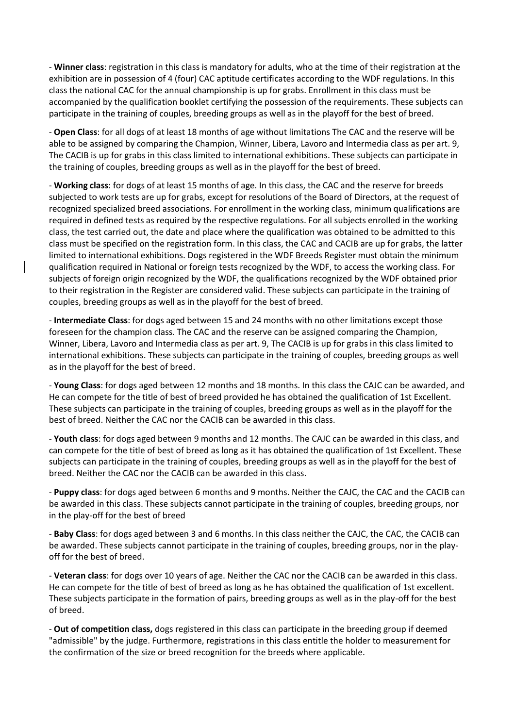- **Winner class**: registration in this class is mandatory for adults, who at the time of their registration at the exhibition are in possession of 4 (four) CAC aptitude certificates according to the WDF regulations. In this class the national CAC for the annual championship is up for grabs. Enrollment in this class must be accompanied by the qualification booklet certifying the possession of the requirements. These subjects can participate in the training of couples, breeding groups as well as in the playoff for the best of breed.

- **Open Class**: for all dogs of at least 18 months of age without limitations The CAC and the reserve will be able to be assigned by comparing the Champion, Winner, Libera, Lavoro and Intermedia class as per art. 9, The CACIB is up for grabs in this class limited to international exhibitions. These subjects can participate in the training of couples, breeding groups as well as in the playoff for the best of breed.

- **Working class**: for dogs of at least 15 months of age. In this class, the CAC and the reserve for breeds subjected to work tests are up for grabs, except for resolutions of the Board of Directors, at the request of recognized specialized breed associations. For enrollment in the working class, minimum qualifications are required in defined tests as required by the respective regulations. For all subjects enrolled in the working class, the test carried out, the date and place where the qualification was obtained to be admitted to this class must be specified on the registration form. In this class, the CAC and CACIB are up for grabs, the latter limited to international exhibitions. Dogs registered in the WDF Breeds Register must obtain the minimum qualification required in National or foreign tests recognized by the WDF, to access the working class. For subjects of foreign origin recognized by the WDF, the qualifications recognized by the WDF obtained prior to their registration in the Register are considered valid. These subjects can participate in the training of couples, breeding groups as well as in the playoff for the best of breed.

- **Intermediate Class**: for dogs aged between 15 and 24 months with no other limitations except those foreseen for the champion class. The CAC and the reserve can be assigned comparing the Champion, Winner, Libera, Lavoro and Intermedia class as per art. 9, The CACIB is up for grabs in this class limited to international exhibitions. These subjects can participate in the training of couples, breeding groups as well as in the playoff for the best of breed.

- **Young Class**: for dogs aged between 12 months and 18 months. In this class the CAJC can be awarded, and He can compete for the title of best of breed provided he has obtained the qualification of 1st Excellent. These subjects can participate in the training of couples, breeding groups as well as in the playoff for the best of breed. Neither the CAC nor the CACIB can be awarded in this class.

- **Youth class**: for dogs aged between 9 months and 12 months. The CAJC can be awarded in this class, and can compete for the title of best of breed as long as it has obtained the qualification of 1st Excellent. These subjects can participate in the training of couples, breeding groups as well as in the playoff for the best of breed. Neither the CAC nor the CACIB can be awarded in this class.

- **Puppy class**: for dogs aged between 6 months and 9 months. Neither the CAJC, the CAC and the CACIB can be awarded in this class. These subjects cannot participate in the training of couples, breeding groups, nor in the play-off for the best of breed

- **Baby Class**: for dogs aged between 3 and 6 months. In this class neither the CAJC, the CAC, the CACIB can be awarded. These subjects cannot participate in the training of couples, breeding groups, nor in the playoff for the best of breed.

- **Veteran class**: for dogs over 10 years of age. Neither the CAC nor the CACIB can be awarded in this class. He can compete for the title of best of breed as long as he has obtained the qualification of 1st excellent. These subjects participate in the formation of pairs, breeding groups as well as in the play-off for the best of breed.

- **Out of competition class,** dogs registered in this class can participate in the breeding group if deemed "admissible" by the judge. Furthermore, registrations in this class entitle the holder to measurement for the confirmation of the size or breed recognition for the breeds where applicable.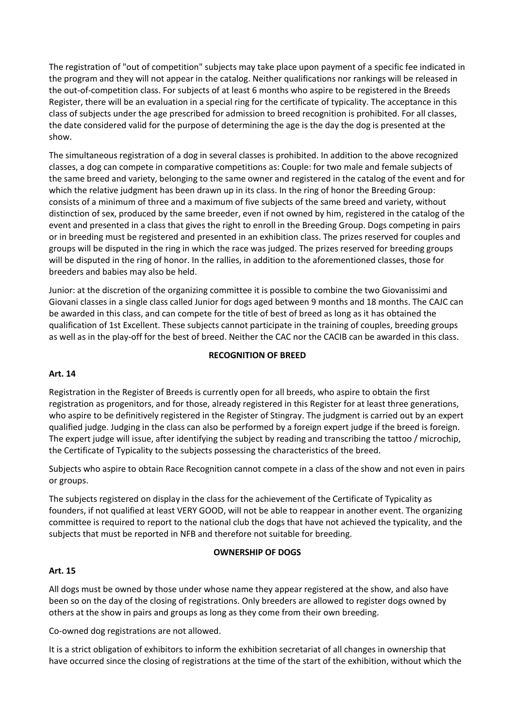The registration of "out of competition" subjects may take place upon payment of a specific fee indicated in the program and they will not appear in the catalog. Neither qualifications nor rankings will be released in the out-of-competition class. For subjects of at least 6 months who aspire to be registered in the Breeds Register, there will be an evaluation in a special ring for the certificate of typicality. The acceptance in this class of subjects under the age prescribed for admission to breed recognition is prohibited. For all classes, the date considered valid for the purpose of determining the age is the day the dog is presented at the show.

The simultaneous registration of a dog in several classes is prohibited. In addition to the above recognized classes, a dog can compete in comparative competitions as: Couple: for two male and female subjects of the same breed and variety, belonging to the same owner and registered in the catalog of the event and for which the relative judgment has been drawn up in its class. In the ring of honor the Breeding Group: consists of a minimum of three and a maximum of five subjects of the same breed and variety, without distinction of sex, produced by the same breeder, even if not owned by him, registered in the catalog of the event and presented in a class that gives the right to enroll in the Breeding Group. Dogs competing in pairs or in breeding must be registered and presented in an exhibition class. The prizes reserved for couples and groups will be disputed in the ring in which the race was judged. The prizes reserved for breeding groups will be disputed in the ring of honor. In the rallies, in addition to the aforementioned classes, those for breeders and babies may also be held.

Junior: at the discretion of the organizing committee it is possible to combine the two Giovanissimi and Giovani classes in a single class called Junior for dogs aged between 9 months and 18 months. The CAJC can be awarded in this class, and can compete for the title of best of breed as long as it has obtained the qualification of 1st Excellent. These subjects cannot participate in the training of couples, breeding groups as well as in the play-off for the best of breed. Neither the CAC nor the CACIB can be awarded in this class.

#### **RECOGNITION OF BREED**

#### **Art. 14**

Registration in the Register of Breeds is currently open for all breeds, who aspire to obtain the first registration as progenitors, and for those, already registered in this Register for at least three generations, who aspire to be definitively registered in the Register of Stingray. The judgment is carried out by an expert qualified judge. Judging in the class can also be performed by a foreign expert judge if the breed is foreign. The expert judge will issue, after identifying the subject by reading and transcribing the tattoo / microchip, the Certificate of Typicality to the subjects possessing the characteristics of the breed.

Subjects who aspire to obtain Race Recognition cannot compete in a class of the show and not even in pairs or groups.

The subjects registered on display in the class for the achievement of the Certificate of Typicality as founders, if not qualified at least VERY GOOD, will not be able to reappear in another event. The organizing committee is required to report to the national club the dogs that have not achieved the typicality, and the subjects that must be reported in NFB and therefore not suitable for breeding.

#### **OWNERSHIP OF DOGS**

#### **Art. 15**

All dogs must be owned by those under whose name they appear registered at the show, and also have been so on the day of the closing of registrations. Only breeders are allowed to register dogs owned by others at the show in pairs and groups as long as they come from their own breeding.

Co-owned dog registrations are not allowed.

It is a strict obligation of exhibitors to inform the exhibition secretariat of all changes in ownership that have occurred since the closing of registrations at the time of the start of the exhibition, without which the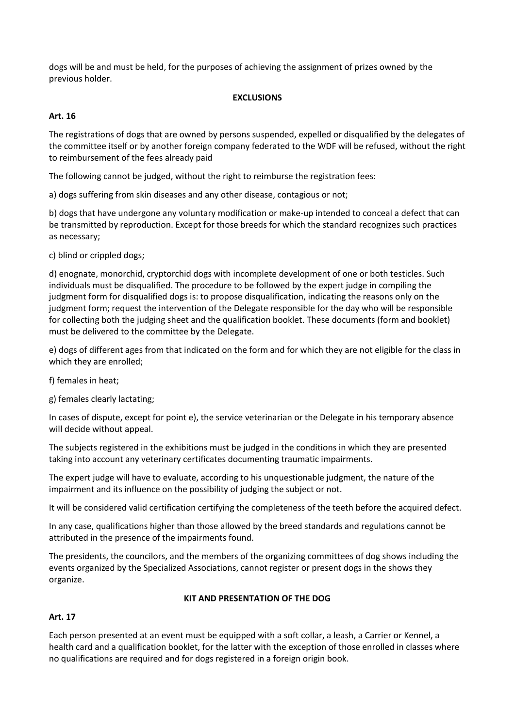dogs will be and must be held, for the purposes of achieving the assignment of prizes owned by the previous holder.

### **EXCLUSIONS**

### **Art. 16**

The registrations of dogs that are owned by persons suspended, expelled or disqualified by the delegates of the committee itself or by another foreign company federated to the WDF will be refused, without the right to reimbursement of the fees already paid

The following cannot be judged, without the right to reimburse the registration fees:

a) dogs suffering from skin diseases and any other disease, contagious or not;

b) dogs that have undergone any voluntary modification or make-up intended to conceal a defect that can be transmitted by reproduction. Except for those breeds for which the standard recognizes such practices as necessary;

c) blind or crippled dogs;

d) enognate, monorchid, cryptorchid dogs with incomplete development of one or both testicles. Such individuals must be disqualified. The procedure to be followed by the expert judge in compiling the judgment form for disqualified dogs is: to propose disqualification, indicating the reasons only on the judgment form; request the intervention of the Delegate responsible for the day who will be responsible for collecting both the judging sheet and the qualification booklet. These documents (form and booklet) must be delivered to the committee by the Delegate.

e) dogs of different ages from that indicated on the form and for which they are not eligible for the class in which they are enrolled;

f) females in heat;

g) females clearly lactating;

In cases of dispute, except for point e), the service veterinarian or the Delegate in his temporary absence will decide without appeal.

The subjects registered in the exhibitions must be judged in the conditions in which they are presented taking into account any veterinary certificates documenting traumatic impairments.

The expert judge will have to evaluate, according to his unquestionable judgment, the nature of the impairment and its influence on the possibility of judging the subject or not.

It will be considered valid certification certifying the completeness of the teeth before the acquired defect.

In any case, qualifications higher than those allowed by the breed standards and regulations cannot be attributed in the presence of the impairments found.

The presidents, the councilors, and the members of the organizing committees of dog shows including the events organized by the Specialized Associations, cannot register or present dogs in the shows they organize.

#### **KIT AND PRESENTATION OF THE DOG**

# **Art. 17**

Each person presented at an event must be equipped with a soft collar, a leash, a Carrier or Kennel, a health card and a qualification booklet, for the latter with the exception of those enrolled in classes where no qualifications are required and for dogs registered in a foreign origin book.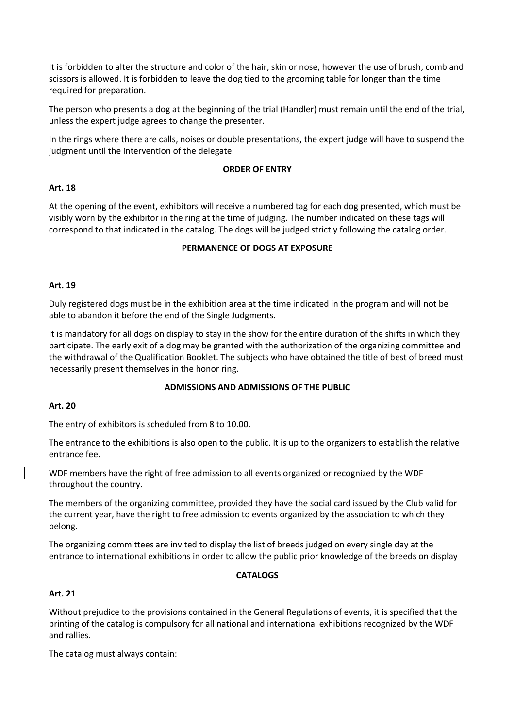It is forbidden to alter the structure and color of the hair, skin or nose, however the use of brush, comb and scissors is allowed. It is forbidden to leave the dog tied to the grooming table for longer than the time required for preparation.

The person who presents a dog at the beginning of the trial (Handler) must remain until the end of the trial, unless the expert judge agrees to change the presenter.

In the rings where there are calls, noises or double presentations, the expert judge will have to suspend the judgment until the intervention of the delegate.

#### **ORDER OF ENTRY**

#### **Art. 18**

At the opening of the event, exhibitors will receive a numbered tag for each dog presented, which must be visibly worn by the exhibitor in the ring at the time of judging. The number indicated on these tags will correspond to that indicated in the catalog. The dogs will be judged strictly following the catalog order.

#### **PERMANENCE OF DOGS AT EXPOSURE**

#### **Art. 19**

Duly registered dogs must be in the exhibition area at the time indicated in the program and will not be able to abandon it before the end of the Single Judgments.

It is mandatory for all dogs on display to stay in the show for the entire duration of the shifts in which they participate. The early exit of a dog may be granted with the authorization of the organizing committee and the withdrawal of the Qualification Booklet. The subjects who have obtained the title of best of breed must necessarily present themselves in the honor ring.

#### **ADMISSIONS AND ADMISSIONS OF THE PUBLIC**

#### **Art. 20**

The entry of exhibitors is scheduled from 8 to 10.00.

The entrance to the exhibitions is also open to the public. It is up to the organizers to establish the relative entrance fee.

WDF members have the right of free admission to all events organized or recognized by the WDF throughout the country.

The members of the organizing committee, provided they have the social card issued by the Club valid for the current year, have the right to free admission to events organized by the association to which they belong.

The organizing committees are invited to display the list of breeds judged on every single day at the entrance to international exhibitions in order to allow the public prior knowledge of the breeds on display

#### **CATALOGS**

#### **Art. 21**

Without prejudice to the provisions contained in the General Regulations of events, it is specified that the printing of the catalog is compulsory for all national and international exhibitions recognized by the WDF and rallies.

The catalog must always contain: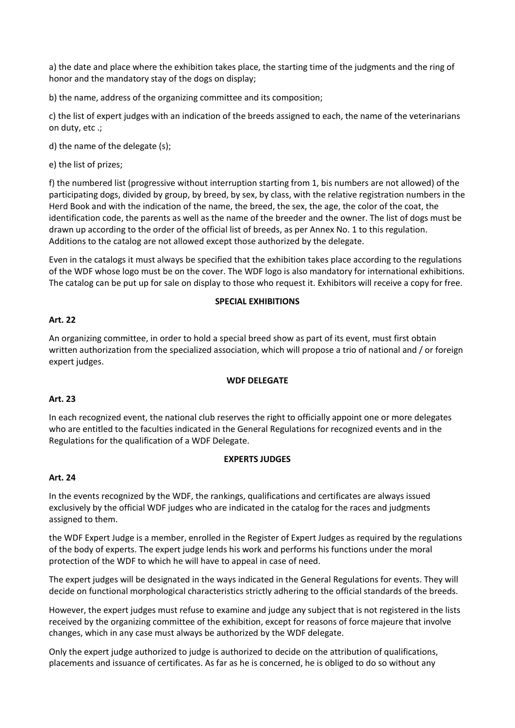a) the date and place where the exhibition takes place, the starting time of the judgments and the ring of honor and the mandatory stay of the dogs on display;

b) the name, address of the organizing committee and its composition;

c) the list of expert judges with an indication of the breeds assigned to each, the name of the veterinarians on duty, etc .;

d) the name of the delegate (s);

e) the list of prizes;

f) the numbered list (progressive without interruption starting from 1, bis numbers are not allowed) of the participating dogs, divided by group, by breed, by sex, by class, with the relative registration numbers in the Herd Book and with the indication of the name, the breed, the sex, the age, the color of the coat, the identification code, the parents as well as the name of the breeder and the owner. The list of dogs must be drawn up according to the order of the official list of breeds, as per Annex No. 1 to this regulation. Additions to the catalog are not allowed except those authorized by the delegate.

Even in the catalogs it must always be specified that the exhibition takes place according to the regulations of the WDF whose logo must be on the cover. The WDF logo is also mandatory for international exhibitions. The catalog can be put up for sale on display to those who request it. Exhibitors will receive a copy for free.

#### **SPECIAL EXHIBITIONS**

#### **Art. 22**

An organizing committee, in order to hold a special breed show as part of its event, must first obtain written authorization from the specialized association, which will propose a trio of national and / or foreign expert judges.

#### **WDF DELEGATE**

#### **Art. 23**

In each recognized event, the national club reserves the right to officially appoint one or more delegates who are entitled to the faculties indicated in the General Regulations for recognized events and in the Regulations for the qualification of a WDF Delegate.

#### **EXPERTS JUDGES**

#### **Art. 24**

In the events recognized by the WDF, the rankings, qualifications and certificates are always issued exclusively by the official WDF judges who are indicated in the catalog for the races and judgments assigned to them.

the WDF Expert Judge is a member, enrolled in the Register of Expert Judges as required by the regulations of the body of experts. The expert judge lends his work and performs his functions under the moral protection of the WDF to which he will have to appeal in case of need.

The expert judges will be designated in the ways indicated in the General Regulations for events. They will decide on functional morphological characteristics strictly adhering to the official standards of the breeds.

However, the expert judges must refuse to examine and judge any subject that is not registered in the lists received by the organizing committee of the exhibition, except for reasons of force majeure that involve changes, which in any case must always be authorized by the WDF delegate.

Only the expert judge authorized to judge is authorized to decide on the attribution of qualifications, placements and issuance of certificates. As far as he is concerned, he is obliged to do so without any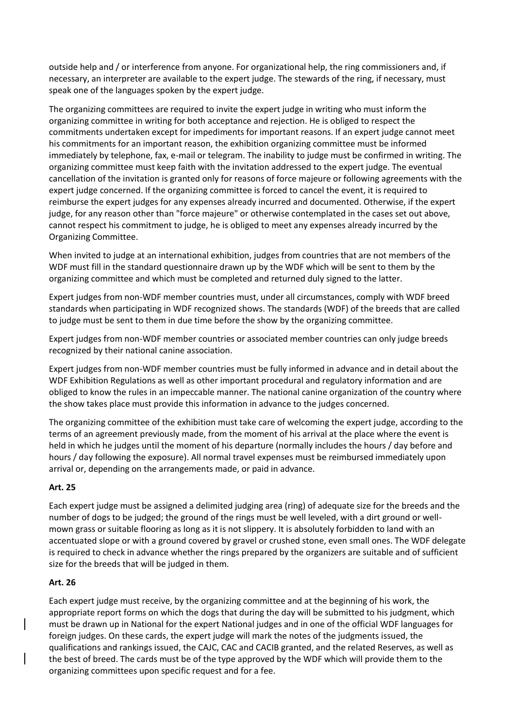outside help and / or interference from anyone. For organizational help, the ring commissioners and, if necessary, an interpreter are available to the expert judge. The stewards of the ring, if necessary, must speak one of the languages spoken by the expert judge.

The organizing committees are required to invite the expert judge in writing who must inform the organizing committee in writing for both acceptance and rejection. He is obliged to respect the commitments undertaken except for impediments for important reasons. If an expert judge cannot meet his commitments for an important reason, the exhibition organizing committee must be informed immediately by telephone, fax, e-mail or telegram. The inability to judge must be confirmed in writing. The organizing committee must keep faith with the invitation addressed to the expert judge. The eventual cancellation of the invitation is granted only for reasons of force majeure or following agreements with the expert judge concerned. If the organizing committee is forced to cancel the event, it is required to reimburse the expert judges for any expenses already incurred and documented. Otherwise, if the expert judge, for any reason other than "force majeure" or otherwise contemplated in the cases set out above, cannot respect his commitment to judge, he is obliged to meet any expenses already incurred by the Organizing Committee.

When invited to judge at an international exhibition, judges from countries that are not members of the WDF must fill in the standard questionnaire drawn up by the WDF which will be sent to them by the organizing committee and which must be completed and returned duly signed to the latter.

Expert judges from non-WDF member countries must, under all circumstances, comply with WDF breed standards when participating in WDF recognized shows. The standards (WDF) of the breeds that are called to judge must be sent to them in due time before the show by the organizing committee.

Expert judges from non-WDF member countries or associated member countries can only judge breeds recognized by their national canine association.

Expert judges from non-WDF member countries must be fully informed in advance and in detail about the WDF Exhibition Regulations as well as other important procedural and regulatory information and are obliged to know the rules in an impeccable manner. The national canine organization of the country where the show takes place must provide this information in advance to the judges concerned.

The organizing committee of the exhibition must take care of welcoming the expert judge, according to the terms of an agreement previously made, from the moment of his arrival at the place where the event is held in which he judges until the moment of his departure (normally includes the hours / day before and hours / day following the exposure). All normal travel expenses must be reimbursed immediately upon arrival or, depending on the arrangements made, or paid in advance.

# **Art. 25**

Each expert judge must be assigned a delimited judging area (ring) of adequate size for the breeds and the number of dogs to be judged; the ground of the rings must be well leveled, with a dirt ground or wellmown grass or suitable flooring as long as it is not slippery. It is absolutely forbidden to land with an accentuated slope or with a ground covered by gravel or crushed stone, even small ones. The WDF delegate is required to check in advance whether the rings prepared by the organizers are suitable and of sufficient size for the breeds that will be judged in them.

#### **Art. 26**

Each expert judge must receive, by the organizing committee and at the beginning of his work, the appropriate report forms on which the dogs that during the day will be submitted to his judgment, which must be drawn up in National for the expert National judges and in one of the official WDF languages for foreign judges. On these cards, the expert judge will mark the notes of the judgments issued, the qualifications and rankings issued, the CAJC, CAC and CACIB granted, and the related Reserves, as well as the best of breed. The cards must be of the type approved by the WDF which will provide them to the organizing committees upon specific request and for a fee.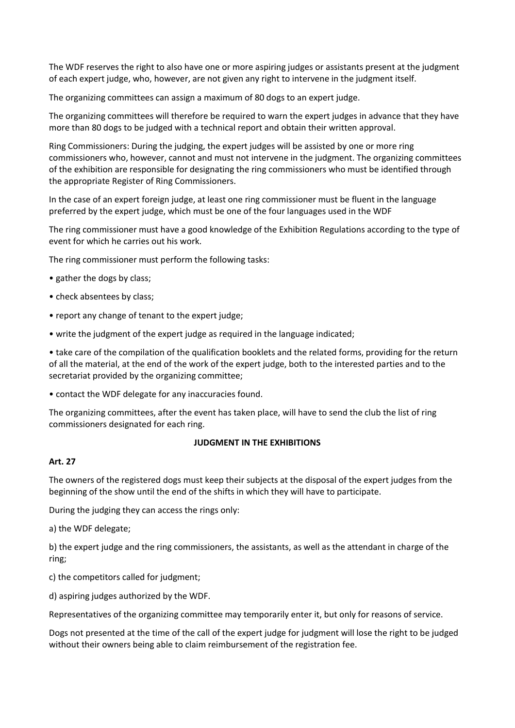The WDF reserves the right to also have one or more aspiring judges or assistants present at the judgment of each expert judge, who, however, are not given any right to intervene in the judgment itself.

The organizing committees can assign a maximum of 80 dogs to an expert judge.

The organizing committees will therefore be required to warn the expert judges in advance that they have more than 80 dogs to be judged with a technical report and obtain their written approval.

Ring Commissioners: During the judging, the expert judges will be assisted by one or more ring commissioners who, however, cannot and must not intervene in the judgment. The organizing committees of the exhibition are responsible for designating the ring commissioners who must be identified through the appropriate Register of Ring Commissioners.

In the case of an expert foreign judge, at least one ring commissioner must be fluent in the language preferred by the expert judge, which must be one of the four languages used in the WDF

The ring commissioner must have a good knowledge of the Exhibition Regulations according to the type of event for which he carries out his work.

The ring commissioner must perform the following tasks:

- gather the dogs by class;
- check absentees by class;
- report any change of tenant to the expert judge;
- write the judgment of the expert judge as required in the language indicated;

• take care of the compilation of the qualification booklets and the related forms, providing for the return of all the material, at the end of the work of the expert judge, both to the interested parties and to the secretariat provided by the organizing committee;

• contact the WDF delegate for any inaccuracies found.

The organizing committees, after the event has taken place, will have to send the club the list of ring commissioners designated for each ring.

#### **JUDGMENT IN THE EXHIBITIONS**

#### **Art. 27**

The owners of the registered dogs must keep their subjects at the disposal of the expert judges from the beginning of the show until the end of the shifts in which they will have to participate.

During the judging they can access the rings only:

a) the WDF delegate;

b) the expert judge and the ring commissioners, the assistants, as well as the attendant in charge of the ring;

c) the competitors called for judgment;

d) aspiring judges authorized by the WDF.

Representatives of the organizing committee may temporarily enter it, but only for reasons of service.

Dogs not presented at the time of the call of the expert judge for judgment will lose the right to be judged without their owners being able to claim reimbursement of the registration fee.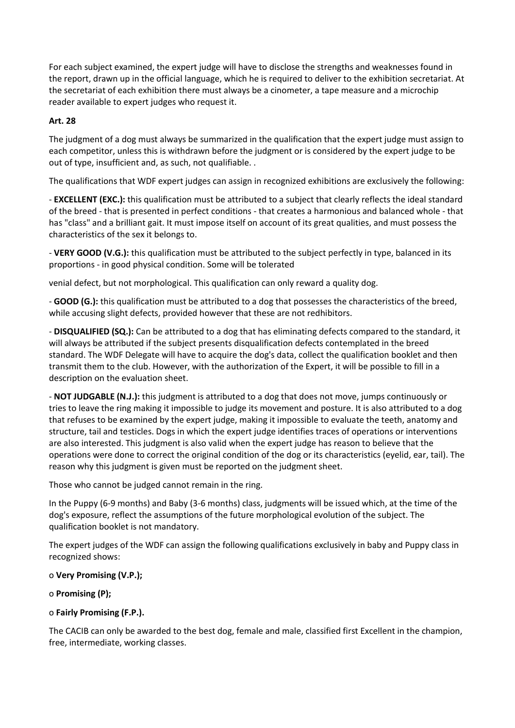For each subject examined, the expert judge will have to disclose the strengths and weaknesses found in the report, drawn up in the official language, which he is required to deliver to the exhibition secretariat. At the secretariat of each exhibition there must always be a cinometer, a tape measure and a microchip reader available to expert judges who request it.

# **Art. 28**

The judgment of a dog must always be summarized in the qualification that the expert judge must assign to each competitor, unless this is withdrawn before the judgment or is considered by the expert judge to be out of type, insufficient and, as such, not qualifiable. .

The qualifications that WDF expert judges can assign in recognized exhibitions are exclusively the following:

- **EXCELLENT (EXC.):** this qualification must be attributed to a subject that clearly reflects the ideal standard of the breed - that is presented in perfect conditions - that creates a harmonious and balanced whole - that has "class" and a brilliant gait. It must impose itself on account of its great qualities, and must possess the characteristics of the sex it belongs to.

- **VERY GOOD (V.G.):** this qualification must be attributed to the subject perfectly in type, balanced in its proportions - in good physical condition. Some will be tolerated

venial defect, but not morphological. This qualification can only reward a quality dog.

- **GOOD (G.):** this qualification must be attributed to a dog that possesses the characteristics of the breed, while accusing slight defects, provided however that these are not redhibitors.

- **DISQUALIFIED (SQ.):** Can be attributed to a dog that has eliminating defects compared to the standard, it will always be attributed if the subject presents disqualification defects contemplated in the breed standard. The WDF Delegate will have to acquire the dog's data, collect the qualification booklet and then transmit them to the club. However, with the authorization of the Expert, it will be possible to fill in a description on the evaluation sheet.

- **NOT JUDGABLE (N.J.):** this judgment is attributed to a dog that does not move, jumps continuously or tries to leave the ring making it impossible to judge its movement and posture. It is also attributed to a dog that refuses to be examined by the expert judge, making it impossible to evaluate the teeth, anatomy and structure, tail and testicles. Dogs in which the expert judge identifies traces of operations or interventions are also interested. This judgment is also valid when the expert judge has reason to believe that the operations were done to correct the original condition of the dog or its characteristics (eyelid, ear, tail). The reason why this judgment is given must be reported on the judgment sheet.

Those who cannot be judged cannot remain in the ring.

In the Puppy (6-9 months) and Baby (3-6 months) class, judgments will be issued which, at the time of the dog's exposure, reflect the assumptions of the future morphological evolution of the subject. The qualification booklet is not mandatory.

The expert judges of the WDF can assign the following qualifications exclusively in baby and Puppy class in recognized shows:

# o **Very Promising (V.P.);**

# o **Promising (P);**

# o **Fairly Promising (F.P.).**

The CACIB can only be awarded to the best dog, female and male, classified first Excellent in the champion, free, intermediate, working classes.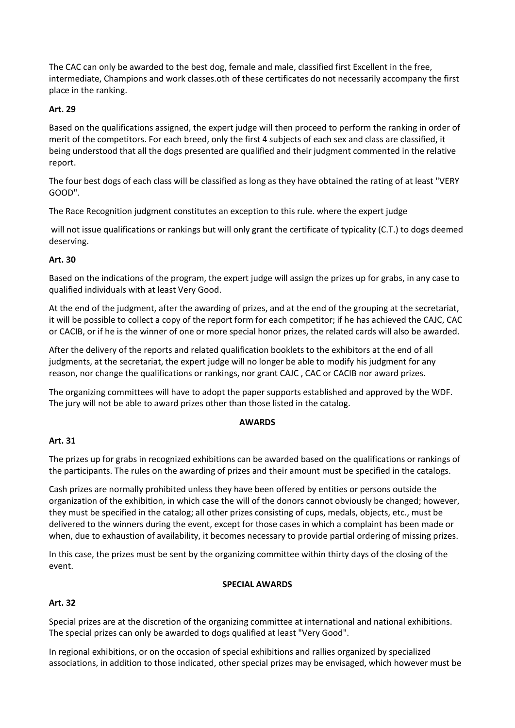The CAC can only be awarded to the best dog, female and male, classified first Excellent in the free, intermediate, Champions and work classes.oth of these certificates do not necessarily accompany the first place in the ranking.

### **Art. 29**

Based on the qualifications assigned, the expert judge will then proceed to perform the ranking in order of merit of the competitors. For each breed, only the first 4 subjects of each sex and class are classified, it being understood that all the dogs presented are qualified and their judgment commented in the relative report.

The four best dogs of each class will be classified as long as they have obtained the rating of at least "VERY GOOD".

The Race Recognition judgment constitutes an exception to this rule. where the expert judge

will not issue qualifications or rankings but will only grant the certificate of typicality (C.T.) to dogs deemed deserving.

### **Art. 30**

Based on the indications of the program, the expert judge will assign the prizes up for grabs, in any case to qualified individuals with at least Very Good.

At the end of the judgment, after the awarding of prizes, and at the end of the grouping at the secretariat, it will be possible to collect a copy of the report form for each competitor; if he has achieved the CAJC, CAC or CACIB, or if he is the winner of one or more special honor prizes, the related cards will also be awarded.

After the delivery of the reports and related qualification booklets to the exhibitors at the end of all judgments, at the secretariat, the expert judge will no longer be able to modify his judgment for any reason, nor change the qualifications or rankings, nor grant CAJC , CAC or CACIB nor award prizes.

The organizing committees will have to adopt the paper supports established and approved by the WDF. The jury will not be able to award prizes other than those listed in the catalog.

#### **AWARDS**

#### **Art. 31**

The prizes up for grabs in recognized exhibitions can be awarded based on the qualifications or rankings of the participants. The rules on the awarding of prizes and their amount must be specified in the catalogs.

Cash prizes are normally prohibited unless they have been offered by entities or persons outside the organization of the exhibition, in which case the will of the donors cannot obviously be changed; however, they must be specified in the catalog; all other prizes consisting of cups, medals, objects, etc., must be delivered to the winners during the event, except for those cases in which a complaint has been made or when, due to exhaustion of availability, it becomes necessary to provide partial ordering of missing prizes.

In this case, the prizes must be sent by the organizing committee within thirty days of the closing of the event.

#### **SPECIAL AWARDS**

#### **Art. 32**

Special prizes are at the discretion of the organizing committee at international and national exhibitions. The special prizes can only be awarded to dogs qualified at least "Very Good".

In regional exhibitions, or on the occasion of special exhibitions and rallies organized by specialized associations, in addition to those indicated, other special prizes may be envisaged, which however must be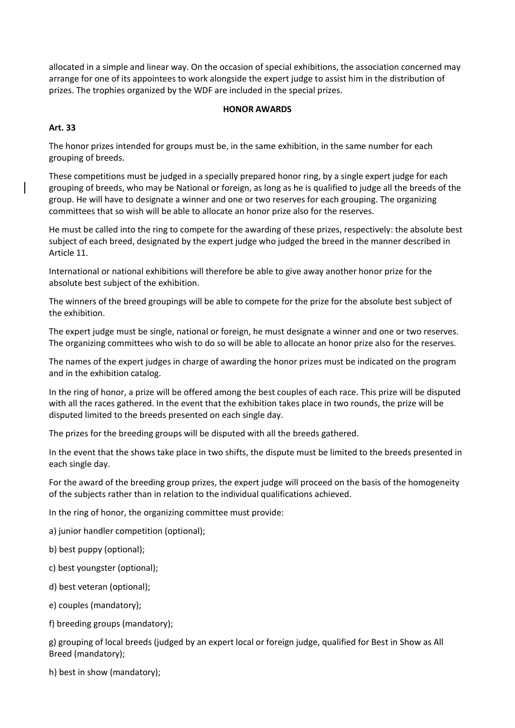allocated in a simple and linear way. On the occasion of special exhibitions, the association concerned may arrange for one of its appointees to work alongside the expert judge to assist him in the distribution of prizes. The trophies organized by the WDF are included in the special prizes.

### **HONOR AWARDS**

# **Art. 33**

The honor prizes intended for groups must be, in the same exhibition, in the same number for each grouping of breeds.

These competitions must be judged in a specially prepared honor ring, by a single expert judge for each grouping of breeds, who may be National or foreign, as long as he is qualified to judge all the breeds of the group. He will have to designate a winner and one or two reserves for each grouping. The organizing committees that so wish will be able to allocate an honor prize also for the reserves.

He must be called into the ring to compete for the awarding of these prizes, respectively: the absolute best subject of each breed, designated by the expert judge who judged the breed in the manner described in Article 11.

International or national exhibitions will therefore be able to give away another honor prize for the absolute best subject of the exhibition.

The winners of the breed groupings will be able to compete for the prize for the absolute best subject of the exhibition.

The expert judge must be single, national or foreign, he must designate a winner and one or two reserves. The organizing committees who wish to do so will be able to allocate an honor prize also for the reserves.

The names of the expert judges in charge of awarding the honor prizes must be indicated on the program and in the exhibition catalog.

In the ring of honor, a prize will be offered among the best couples of each race. This prize will be disputed with all the races gathered. In the event that the exhibition takes place in two rounds, the prize will be disputed limited to the breeds presented on each single day.

The prizes for the breeding groups will be disputed with all the breeds gathered.

In the event that the shows take place in two shifts, the dispute must be limited to the breeds presented in each single day.

For the award of the breeding group prizes, the expert judge will proceed on the basis of the homogeneity of the subjects rather than in relation to the individual qualifications achieved.

In the ring of honor, the organizing committee must provide:

a) junior handler competition (optional);

b) best puppy (optional);

c) best youngster (optional);

d) best veteran (optional);

e) couples (mandatory);

f) breeding groups (mandatory);

g) grouping of local breeds (judged by an expert local or foreign judge, qualified for Best in Show as All Breed (mandatory);

h) best in show (mandatory);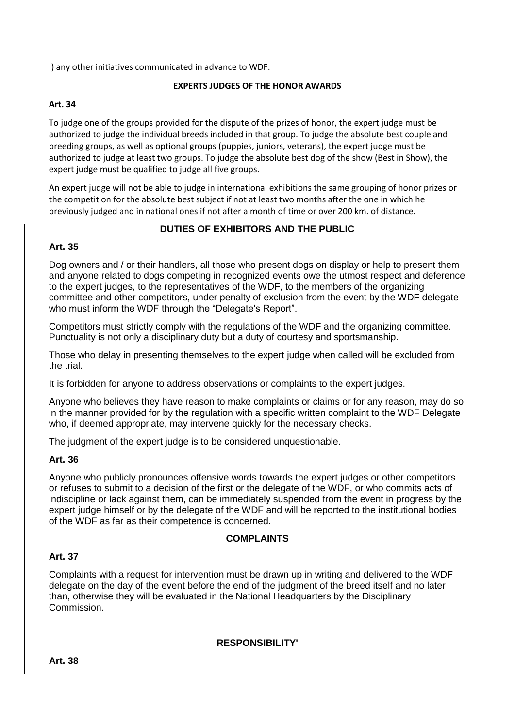i) any other initiatives communicated in advance to WDF.

# **EXPERTS JUDGES OF THE HONOR AWARDS**

# **Art. 34**

To judge one of the groups provided for the dispute of the prizes of honor, the expert judge must be authorized to judge the individual breeds included in that group. To judge the absolute best couple and breeding groups, as well as optional groups (puppies, juniors, veterans), the expert judge must be authorized to judge at least two groups. To judge the absolute best dog of the show (Best in Show), the expert judge must be qualified to judge all five groups.

An expert judge will not be able to judge in international exhibitions the same grouping of honor prizes or the competition for the absolute best subject if not at least two months after the one in which he previously judged and in national ones if not after a month of time or over 200 km. of distance.

# **DUTIES OF EXHIBITORS AND THE PUBLIC**

# **Art. 35**

Dog owners and / or their handlers, all those who present dogs on display or help to present them and anyone related to dogs competing in recognized events owe the utmost respect and deference to the expert judges, to the representatives of the WDF, to the members of the organizing committee and other competitors, under penalty of exclusion from the event by the WDF delegate who must inform the WDF through the "Delegate's Report".

Competitors must strictly comply with the regulations of the WDF and the organizing committee. Punctuality is not only a disciplinary duty but a duty of courtesy and sportsmanship.

Those who delay in presenting themselves to the expert judge when called will be excluded from the trial.

It is forbidden for anyone to address observations or complaints to the expert judges.

Anyone who believes they have reason to make complaints or claims or for any reason, may do so in the manner provided for by the regulation with a specific written complaint to the WDF Delegate who, if deemed appropriate, may intervene quickly for the necessary checks.

The judgment of the expert judge is to be considered unquestionable.

# **Art. 36**

Anyone who publicly pronounces offensive words towards the expert judges or other competitors or refuses to submit to a decision of the first or the delegate of the WDF, or who commits acts of indiscipline or lack against them, can be immediately suspended from the event in progress by the expert judge himself or by the delegate of the WDF and will be reported to the institutional bodies of the WDF as far as their competence is concerned.

# **COMPLAINTS**

# **Art. 37**

Complaints with a request for intervention must be drawn up in writing and delivered to the WDF delegate on the day of the event before the end of the judgment of the breed itself and no later than, otherwise they will be evaluated in the National Headquarters by the Disciplinary Commission.

**RESPONSIBILITY'**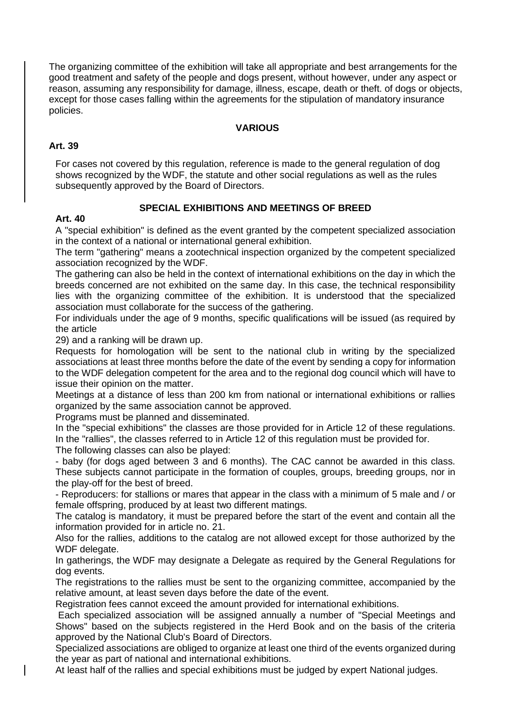The organizing committee of the exhibition will take all appropriate and best arrangements for the good treatment and safety of the people and dogs present, without however, under any aspect or reason, assuming any responsibility for damage, illness, escape, death or theft. of dogs or objects, except for those cases falling within the agreements for the stipulation of mandatory insurance policies.

# **VARIOUS**

# **Art. 39**

For cases not covered by this regulation, reference is made to the general regulation of dog shows recognized by the WDF, the statute and other social regulations as well as the rules subsequently approved by the Board of Directors.

# **SPECIAL EXHIBITIONS AND MEETINGS OF BREED**

# **Art. 40**

A "special exhibition" is defined as the event granted by the competent specialized association in the context of a national or international general exhibition.

The term "gathering" means a zootechnical inspection organized by the competent specialized association recognized by the WDF.

The gathering can also be held in the context of international exhibitions on the day in which the breeds concerned are not exhibited on the same day. In this case, the technical responsibility lies with the organizing committee of the exhibition. It is understood that the specialized association must collaborate for the success of the gathering.

For individuals under the age of 9 months, specific qualifications will be issued (as required by the article

29) and a ranking will be drawn up.

Requests for homologation will be sent to the national club in writing by the specialized associations at least three months before the date of the event by sending a copy for information to the WDF delegation competent for the area and to the regional dog council which will have to issue their opinion on the matter.

Meetings at a distance of less than 200 km from national or international exhibitions or rallies organized by the same association cannot be approved.

Programs must be planned and disseminated.

In the "special exhibitions" the classes are those provided for in Article 12 of these regulations. In the "rallies", the classes referred to in Article 12 of this regulation must be provided for.

The following classes can also be played:

- baby (for dogs aged between 3 and 6 months). The CAC cannot be awarded in this class. These subjects cannot participate in the formation of couples, groups, breeding groups, nor in the play-off for the best of breed.

- Reproducers: for stallions or mares that appear in the class with a minimum of 5 male and / or female offspring, produced by at least two different matings.

The catalog is mandatory, it must be prepared before the start of the event and contain all the information provided for in article no. 21.

Also for the rallies, additions to the catalog are not allowed except for those authorized by the WDF delegate.

In gatherings, the WDF may designate a Delegate as required by the General Regulations for dog events.

The registrations to the rallies must be sent to the organizing committee, accompanied by the relative amount, at least seven days before the date of the event.

Registration fees cannot exceed the amount provided for international exhibitions.

Each specialized association will be assigned annually a number of "Special Meetings and Shows" based on the subjects registered in the Herd Book and on the basis of the criteria approved by the National Club's Board of Directors.

Specialized associations are obliged to organize at least one third of the events organized during the year as part of national and international exhibitions.

At least half of the rallies and special exhibitions must be judged by expert National judges.